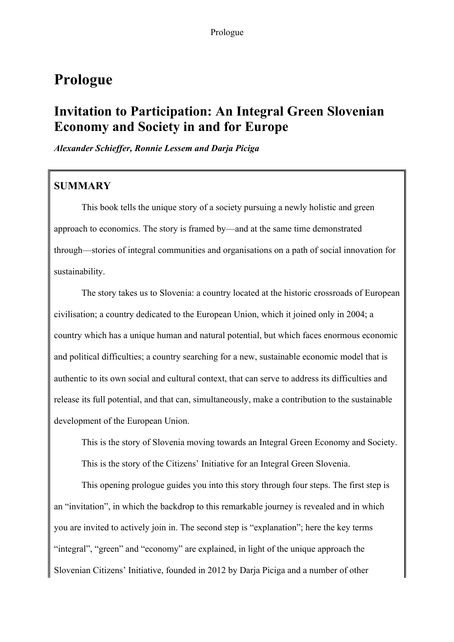### **Invitation to Participation: An Integral Green Slovenian Economy and Society in and for Europe**

*Alexander Schieffer, Ronnie Lessem and Darja Piciga*

### **SUMMARY**

This book tells the unique story of a society pursuing a newly holistic and green approach to economics. The story is framed by—and at the same time demonstrated through—stories of integral communities and organisations on a path of social innovation for sustainability.

The story takes us to Slovenia: a country located at the historic crossroads of European civilisation; a country dedicated to the European Union, which it joined only in 2004; a country which has a unique human and natural potential, but which faces enormous economic and political difficulties; a country searching for a new, sustainable economic model that is authentic to its own social and cultural context, that can serve to address its difficulties and release its full potential, and that can, simultaneously, make a contribution to the sustainable development of the European Union.

This is the story of Slovenia moving towards an Integral Green Economy and Society. This is the story of the Citizens' Initiative for an Integral Green Slovenia.

This opening prologue guides you into this story through four steps. The first step is an "invitation", in which the backdrop to this remarkable journey is revealed and in which you are invited to actively join in. The second step is "explanation"; here the key terms "integral", "green" and "economy" are explained, in light of the unique approach the Slovenian Citizens' Initiative, founded in 2012 by Darja Piciga and a number of other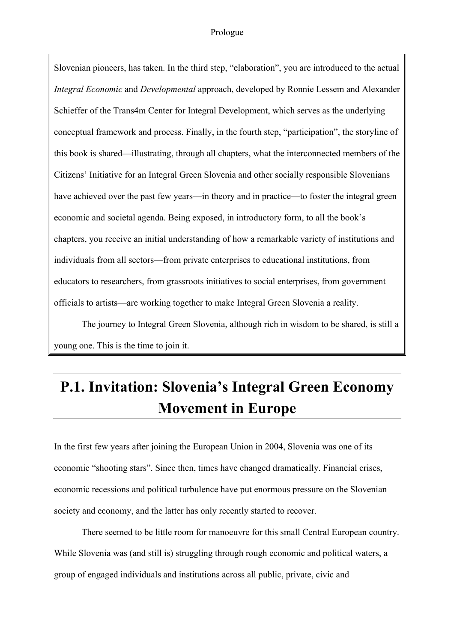Slovenian pioneers, has taken. In the third step, "elaboration", you are introduced to the actual *Integral Economic* and *Developmental* approach, developed by Ronnie Lessem and Alexander Schieffer of the Trans4m Center for Integral Development, which serves as the underlying conceptual framework and process. Finally, in the fourth step, "participation", the storyline of this book is shared—illustrating, through all chapters, what the interconnected members of the Citizens' Initiative for an Integral Green Slovenia and other socially responsible Slovenians have achieved over the past few years—in theory and in practice—to foster the integral green economic and societal agenda. Being exposed, in introductory form, to all the book's chapters, you receive an initial understanding of how a remarkable variety of institutions and individuals from all sectors—from private enterprises to educational institutions, from educators to researchers, from grassroots initiatives to social enterprises, from government officials to artists—are working together to make Integral Green Slovenia a reality.

The journey to Integral Green Slovenia, although rich in wisdom to be shared, is still a young one. This is the time to join it.

## **P.1. Invitation: Slovenia's Integral Green Economy Movement in Europe**

In the first few years after joining the European Union in 2004, Slovenia was one of its economic "shooting stars". Since then, times have changed dramatically. Financial crises, economic recessions and political turbulence have put enormous pressure on the Slovenian society and economy, and the latter has only recently started to recover.

There seemed to be little room for manoeuvre for this small Central European country. While Slovenia was (and still is) struggling through rough economic and political waters, a group of engaged individuals and institutions across all public, private, civic and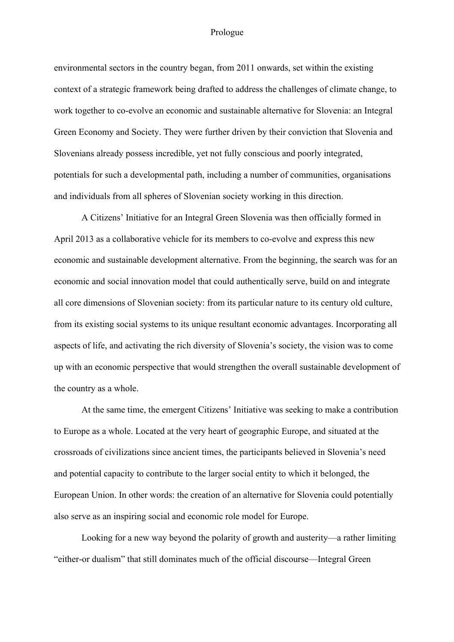environmental sectors in the country began, from 2011 onwards, set within the existing context of a strategic framework being drafted to address the challenges of climate change, to work together to co-evolve an economic and sustainable alternative for Slovenia: an Integral Green Economy and Society. They were further driven by their conviction that Slovenia and Slovenians already possess incredible, yet not fully conscious and poorly integrated, potentials for such a developmental path, including a number of communities, organisations and individuals from all spheres of Slovenian society working in this direction.

A Citizens' Initiative for an Integral Green Slovenia was then officially formed in April 2013 as a collaborative vehicle for its members to co-evolve and express this new economic and sustainable development alternative. From the beginning, the search was for an economic and social innovation model that could authentically serve, build on and integrate all core dimensions of Slovenian society: from its particular nature to its century old culture, from its existing social systems to its unique resultant economic advantages. Incorporating all aspects of life, and activating the rich diversity of Slovenia's society, the vision was to come up with an economic perspective that would strengthen the overall sustainable development of the country as a whole.

At the same time, the emergent Citizens' Initiative was seeking to make a contribution to Europe as a whole. Located at the very heart of geographic Europe, and situated at the crossroads of civilizations since ancient times, the participants believed in Slovenia's need and potential capacity to contribute to the larger social entity to which it belonged, the European Union. In other words: the creation of an alternative for Slovenia could potentially also serve as an inspiring social and economic role model for Europe.

Looking for a new way beyond the polarity of growth and austerity—a rather limiting "either-or dualism" that still dominates much of the official discourse—Integral Green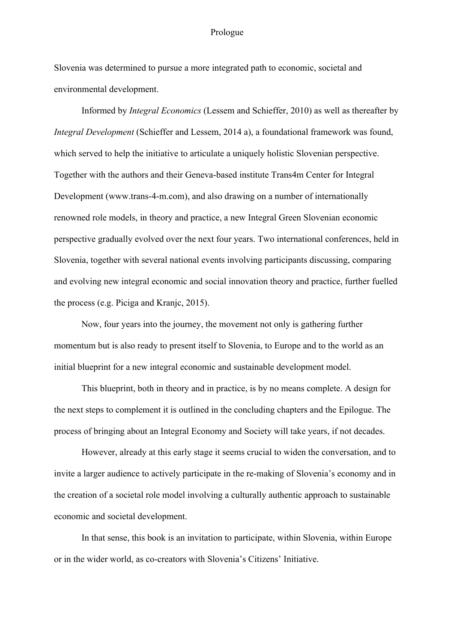Slovenia was determined to pursue a more integrated path to economic, societal and environmental development.

Informed by *Integral Economics* (Lessem and Schieffer, 2010) as well as thereafter by *Integral Development* (Schieffer and Lessem, 2014 a), a foundational framework was found, which served to help the initiative to articulate a uniquely holistic Slovenian perspective. Together with the authors and their Geneva-based institute Trans4m Center for Integral Development (www.trans-4-m.com), and also drawing on a number of internationally renowned role models, in theory and practice, a new Integral Green Slovenian economic perspective gradually evolved over the next four years. Two international conferences, held in Slovenia, together with several national events involving participants discussing, comparing and evolving new integral economic and social innovation theory and practice, further fuelled the process (e.g. Piciga and Kranjc, 2015).

Now, four years into the journey, the movement not only is gathering further momentum but is also ready to present itself to Slovenia, to Europe and to the world as an initial blueprint for a new integral economic and sustainable development model.

This blueprint, both in theory and in practice, is by no means complete. A design for the next steps to complement it is outlined in the concluding chapters and the Epilogue. The process of bringing about an Integral Economy and Society will take years, if not decades.

However, already at this early stage it seems crucial to widen the conversation, and to invite a larger audience to actively participate in the re-making of Slovenia's economy and in the creation of a societal role model involving a culturally authentic approach to sustainable economic and societal development.

In that sense, this book is an invitation to participate, within Slovenia, within Europe or in the wider world, as co-creators with Slovenia's Citizens' Initiative.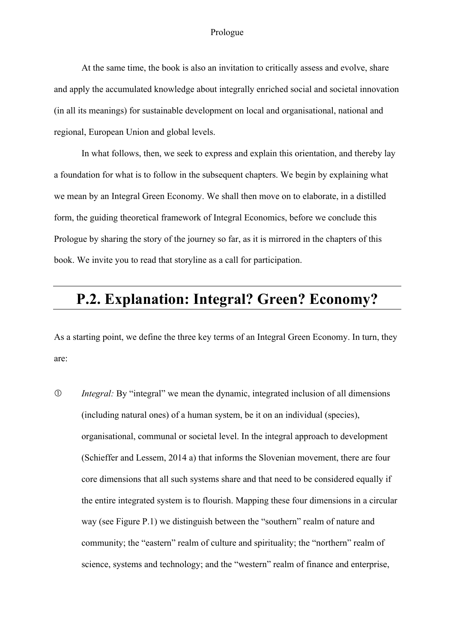At the same time, the book is also an invitation to critically assess and evolve, share and apply the accumulated knowledge about integrally enriched social and societal innovation (in all its meanings) for sustainable development on local and organisational, national and regional, European Union and global levels.

In what follows, then, we seek to express and explain this orientation, and thereby lay a foundation for what is to follow in the subsequent chapters. We begin by explaining what we mean by an Integral Green Economy. We shall then move on to elaborate, in a distilled form, the guiding theoretical framework of Integral Economics, before we conclude this Prologue by sharing the story of the journey so far, as it is mirrored in the chapters of this book. We invite you to read that storyline as a call for participation.

### **P.2. Explanation: Integral? Green? Economy?**

As a starting point, we define the three key terms of an Integral Green Economy. In turn, they are:

! *Integral:* By "integral" we mean the dynamic, integrated inclusion of all dimensions (including natural ones) of a human system, be it on an individual (species), organisational, communal or societal level. In the integral approach to development (Schieffer and Lessem, 2014 a) that informs the Slovenian movement, there are four core dimensions that all such systems share and that need to be considered equally if the entire integrated system is to flourish. Mapping these four dimensions in a circular way (see Figure P.1) we distinguish between the "southern" realm of nature and community; the "eastern" realm of culture and spirituality; the "northern" realm of science, systems and technology; and the "western" realm of finance and enterprise,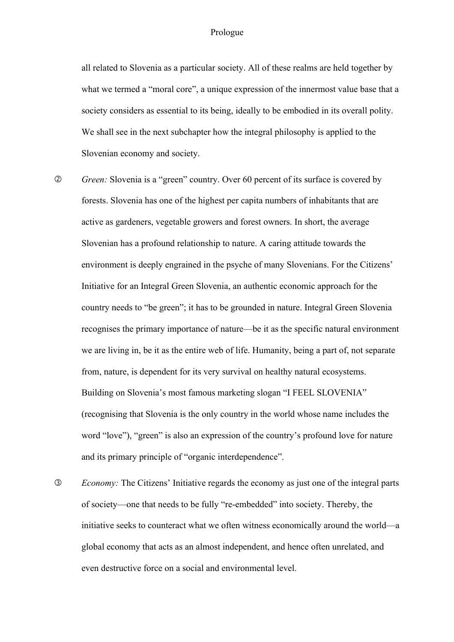all related to Slovenia as a particular society. All of these realms are held together by what we termed a "moral core", a unique expression of the innermost value base that a society considers as essential to its being, ideally to be embodied in its overall polity. We shall see in the next subchapter how the integral philosophy is applied to the Slovenian economy and society.

- " *Green:* Slovenia is a "green" country. Over 60 percent of its surface is covered by forests. Slovenia has one of the highest per capita numbers of inhabitants that are active as gardeners, vegetable growers and forest owners. In short, the average Slovenian has a profound relationship to nature. A caring attitude towards the environment is deeply engrained in the psyche of many Slovenians. For the Citizens' Initiative for an Integral Green Slovenia, an authentic economic approach for the country needs to "be green"; it has to be grounded in nature. Integral Green Slovenia recognises the primary importance of nature—be it as the specific natural environment we are living in, be it as the entire web of life. Humanity, being a part of, not separate from, nature, is dependent for its very survival on healthy natural ecosystems. Building on Slovenia's most famous marketing slogan "I FEEL SLOVENIA" (recognising that Slovenia is the only country in the world whose name includes the word "love"), "green" is also an expression of the country's profound love for nature and its primary principle of "organic interdependence".
- # *Economy:* The Citizens' Initiative regards the economy as just one of the integral parts of society—one that needs to be fully "re-embedded" into society. Thereby, the initiative seeks to counteract what we often witness economically around the world—a global economy that acts as an almost independent, and hence often unrelated, and even destructive force on a social and environmental level.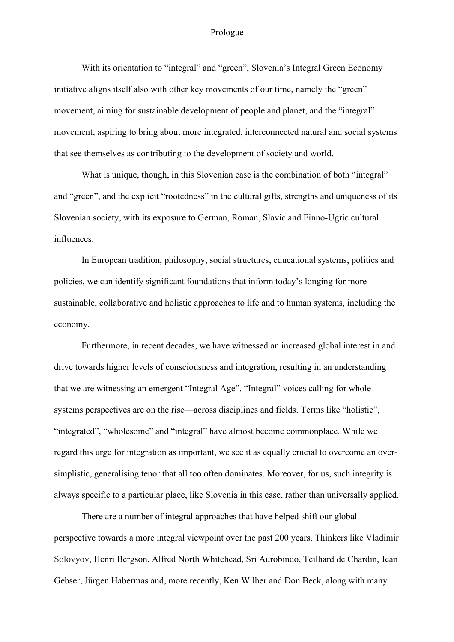With its orientation to "integral" and "green", Slovenia's Integral Green Economy initiative aligns itself also with other key movements of our time, namely the "green" movement, aiming for sustainable development of people and planet, and the "integral" movement, aspiring to bring about more integrated, interconnected natural and social systems that see themselves as contributing to the development of society and world.

What is unique, though, in this Slovenian case is the combination of both "integral" and "green", and the explicit "rootedness" in the cultural gifts, strengths and uniqueness of its Slovenian society, with its exposure to German, Roman, Slavic and Finno-Ugric cultural influences.

In European tradition, philosophy, social structures, educational systems, politics and policies, we can identify significant foundations that inform today's longing for more sustainable, collaborative and holistic approaches to life and to human systems, including the economy.

Furthermore, in recent decades, we have witnessed an increased global interest in and drive towards higher levels of consciousness and integration, resulting in an understanding that we are witnessing an emergent "Integral Age". "Integral" voices calling for wholesystems perspectives are on the rise—across disciplines and fields. Terms like "holistic", "integrated", "wholesome" and "integral" have almost become commonplace. While we regard this urge for integration as important, we see it as equally crucial to overcome an oversimplistic, generalising tenor that all too often dominates. Moreover, for us, such integrity is always specific to a particular place, like Slovenia in this case, rather than universally applied.

There are a number of integral approaches that have helped shift our global perspective towards a more integral viewpoint over the past 200 years. Thinkers like Vladimir Solovyov, Henri Bergson, Alfred North Whitehead, Sri Aurobindo, Teilhard de Chardin, Jean Gebser, Jürgen Habermas and, more recently, Ken Wilber and Don Beck, along with many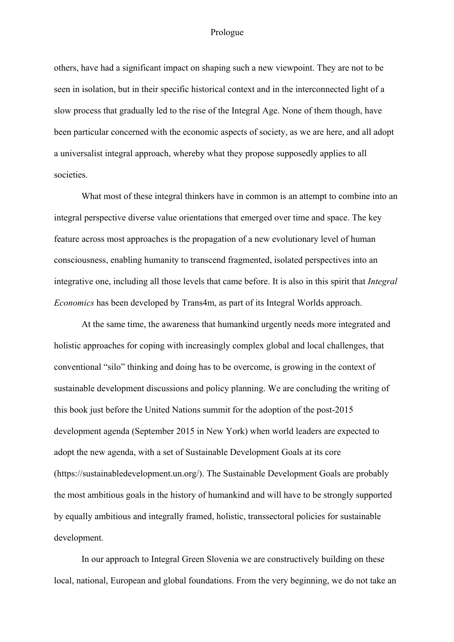others, have had a significant impact on shaping such a new viewpoint. They are not to be seen in isolation, but in their specific historical context and in the interconnected light of a slow process that gradually led to the rise of the Integral Age. None of them though, have been particular concerned with the economic aspects of society, as we are here, and all adopt a universalist integral approach, whereby what they propose supposedly applies to all societies.

What most of these integral thinkers have in common is an attempt to combine into an integral perspective diverse value orientations that emerged over time and space. The key feature across most approaches is the propagation of a new evolutionary level of human consciousness, enabling humanity to transcend fragmented, isolated perspectives into an integrative one, including all those levels that came before. It is also in this spirit that *Integral Economics* has been developed by Trans4m, as part of its Integral Worlds approach.

At the same time, the awareness that humankind urgently needs more integrated and holistic approaches for coping with increasingly complex global and local challenges, that conventional "silo" thinking and doing has to be overcome, is growing in the context of sustainable development discussions and policy planning. We are concluding the writing of this book just before the United Nations summit for the adoption of the post-2015 development agenda (September 2015 in New York) when world leaders are expected to adopt the new agenda, with a set of Sustainable Development Goals at its core (https://sustainabledevelopment.un.org/). The Sustainable Development Goals are probably the most ambitious goals in the history of humankind and will have to be strongly supported by equally ambitious and integrally framed, holistic, transsectoral policies for sustainable development.

In our approach to Integral Green Slovenia we are constructively building on these local, national, European and global foundations. From the very beginning, we do not take an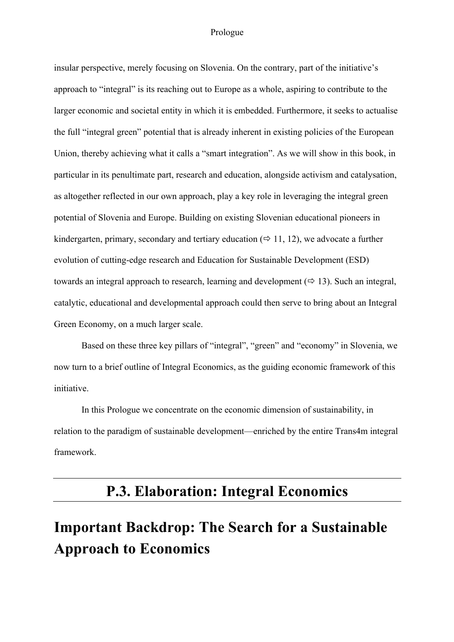insular perspective, merely focusing on Slovenia. On the contrary, part of the initiative's approach to "integral" is its reaching out to Europe as a whole, aspiring to contribute to the larger economic and societal entity in which it is embedded. Furthermore, it seeks to actualise the full "integral green" potential that is already inherent in existing policies of the European Union, thereby achieving what it calls a "smart integration". As we will show in this book, in particular in its penultimate part, research and education, alongside activism and catalysation, as altogether reflected in our own approach, play a key role in leveraging the integral green potential of Slovenia and Europe. Building on existing Slovenian educational pioneers in kindergarten, primary, secondary and tertiary education ( $\Rightarrow$  11, 12), we advocate a further evolution of cutting-edge research and Education for Sustainable Development (ESD) towards an integral approach to research, learning and development  $(\Rightarrow 13)$ . Such an integral, catalytic, educational and developmental approach could then serve to bring about an Integral Green Economy, on a much larger scale.

Based on these three key pillars of "integral", "green" and "economy" in Slovenia, we now turn to a brief outline of Integral Economics, as the guiding economic framework of this initiative.

In this Prologue we concentrate on the economic dimension of sustainability, in relation to the paradigm of sustainable development—enriched by the entire Trans4m integral framework.

### **P.3. Elaboration: Integral Economics**

# **Important Backdrop: The Search for a Sustainable Approach to Economics**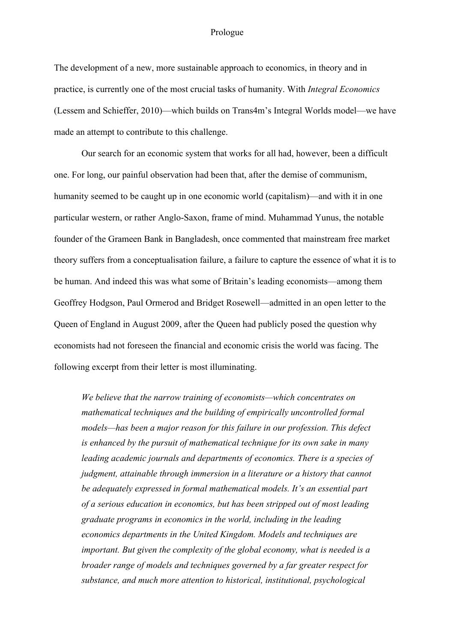The development of a new, more sustainable approach to economics, in theory and in practice, is currently one of the most crucial tasks of humanity. With *Integral Economics* (Lessem and Schieffer, 2010)—which builds on Trans4m's Integral Worlds model—we have made an attempt to contribute to this challenge.

Our search for an economic system that works for all had, however, been a difficult one. For long, our painful observation had been that, after the demise of communism, humanity seemed to be caught up in one economic world (capitalism)—and with it in one particular western, or rather Anglo-Saxon, frame of mind. Muhammad Yunus, the notable founder of the Grameen Bank in Bangladesh, once commented that mainstream free market theory suffers from a conceptualisation failure, a failure to capture the essence of what it is to be human. And indeed this was what some of Britain's leading economists—among them Geoffrey Hodgson, Paul Ormerod and Bridget Rosewell—admitted in an open letter to the Queen of England in August 2009, after the Queen had publicly posed the question why economists had not foreseen the financial and economic crisis the world was facing. The following excerpt from their letter is most illuminating.

*We believe that the narrow training of economists—which concentrates on mathematical techniques and the building of empirically uncontrolled formal models—has been a major reason for this failure in our profession. This defect is enhanced by the pursuit of mathematical technique for its own sake in many leading academic journals and departments of economics. There is a species of judgment, attainable through immersion in a literature or a history that cannot be adequately expressed in formal mathematical models. It's an essential part of a serious education in economics, but has been stripped out of most leading graduate programs in economics in the world, including in the leading economics departments in the United Kingdom. Models and techniques are important. But given the complexity of the global economy, what is needed is a broader range of models and techniques governed by a far greater respect for substance, and much more attention to historical, institutional, psychological*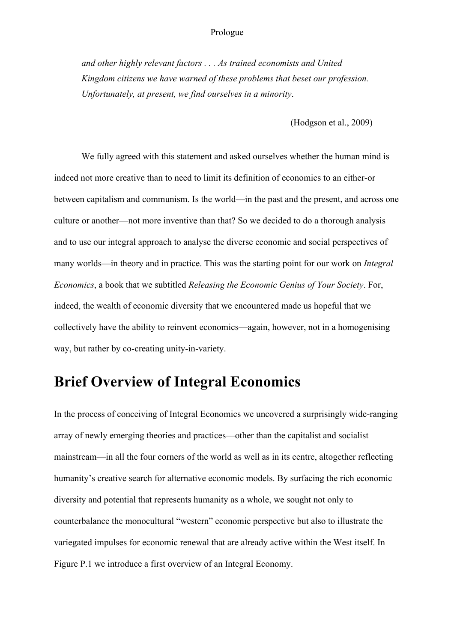*and other highly relevant factors . . . As trained economists and United Kingdom citizens we have warned of these problems that beset our profession. Unfortunately, at present, we find ourselves in a minority*.

(Hodgson et al., 2009)

We fully agreed with this statement and asked ourselves whether the human mind is indeed not more creative than to need to limit its definition of economics to an either-or between capitalism and communism. Is the world—in the past and the present, and across one culture or another—not more inventive than that? So we decided to do a thorough analysis and to use our integral approach to analyse the diverse economic and social perspectives of many worlds—in theory and in practice. This was the starting point for our work on *Integral Economics*, a book that we subtitled *Releasing the Economic Genius of Your Society*. For, indeed, the wealth of economic diversity that we encountered made us hopeful that we collectively have the ability to reinvent economics—again, however, not in a homogenising way, but rather by co-creating unity-in-variety.

### **Brief Overview of Integral Economics**

In the process of conceiving of Integral Economics we uncovered a surprisingly wide-ranging array of newly emerging theories and practices—other than the capitalist and socialist mainstream—in all the four corners of the world as well as in its centre, altogether reflecting humanity's creative search for alternative economic models. By surfacing the rich economic diversity and potential that represents humanity as a whole, we sought not only to counterbalance the monocultural "western" economic perspective but also to illustrate the variegated impulses for economic renewal that are already active within the West itself. In Figure P.1 we introduce a first overview of an Integral Economy.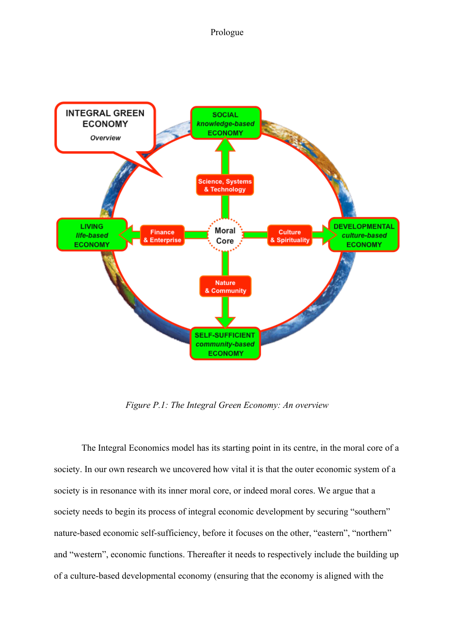

*Figure P.1: The Integral Green Economy: An overview*

The Integral Economics model has its starting point in its centre, in the moral core of a society. In our own research we uncovered how vital it is that the outer economic system of a society is in resonance with its inner moral core, or indeed moral cores. We argue that a society needs to begin its process of integral economic development by securing "southern" nature-based economic self-sufficiency, before it focuses on the other, "eastern", "northern" and "western", economic functions. Thereafter it needs to respectively include the building up of a culture-based developmental economy (ensuring that the economy is aligned with the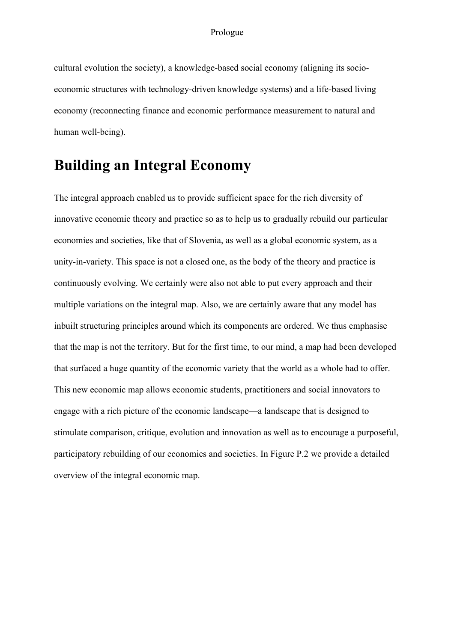cultural evolution the society), a knowledge-based social economy (aligning its socioeconomic structures with technology-driven knowledge systems) and a life-based living economy (reconnecting finance and economic performance measurement to natural and human well-being).

### **Building an Integral Economy**

The integral approach enabled us to provide sufficient space for the rich diversity of innovative economic theory and practice so as to help us to gradually rebuild our particular economies and societies, like that of Slovenia, as well as a global economic system, as a unity-in-variety. This space is not a closed one, as the body of the theory and practice is continuously evolving. We certainly were also not able to put every approach and their multiple variations on the integral map. Also, we are certainly aware that any model has inbuilt structuring principles around which its components are ordered. We thus emphasise that the map is not the territory. But for the first time, to our mind, a map had been developed that surfaced a huge quantity of the economic variety that the world as a whole had to offer. This new economic map allows economic students, practitioners and social innovators to engage with a rich picture of the economic landscape—a landscape that is designed to stimulate comparison, critique, evolution and innovation as well as to encourage a purposeful, participatory rebuilding of our economies and societies. In Figure P.2 we provide a detailed overview of the integral economic map.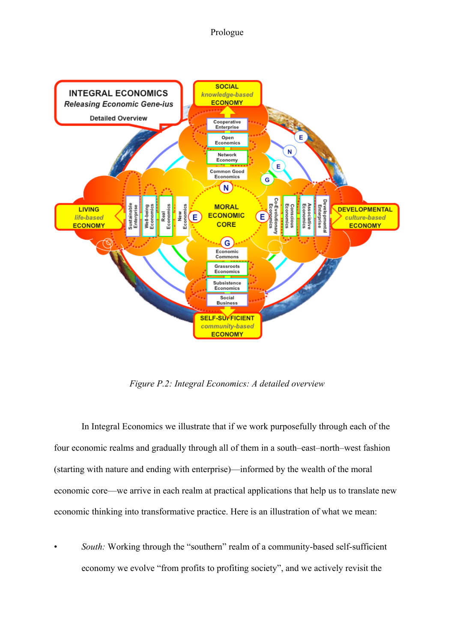

*Figure P.2: Integral Economics: A detailed overview*

In Integral Economics we illustrate that if we work purposefully through each of the four economic realms and gradually through all of them in a south–east–north–west fashion (starting with nature and ending with enterprise)—informed by the wealth of the moral economic core—we arrive in each realm at practical applications that help us to translate new economic thinking into transformative practice. Here is an illustration of what we mean:

South: Working through the "southern" realm of a community-based self-sufficient economy we evolve "from profits to profiting society", and we actively revisit the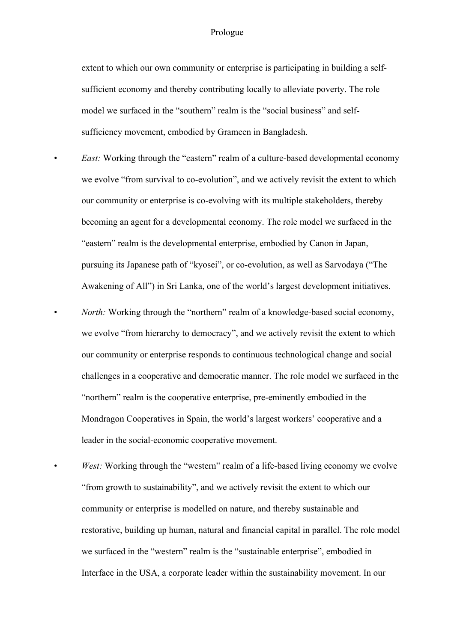extent to which our own community or enterprise is participating in building a selfsufficient economy and thereby contributing locally to alleviate poverty. The role model we surfaced in the "southern" realm is the "social business" and selfsufficiency movement, embodied by Grameen in Bangladesh.

- *East:* Working through the "eastern" realm of a culture-based developmental economy we evolve "from survival to co-evolution", and we actively revisit the extent to which our community or enterprise is co-evolving with its multiple stakeholders, thereby becoming an agent for a developmental economy. The role model we surfaced in the "eastern" realm is the developmental enterprise, embodied by Canon in Japan, pursuing its Japanese path of "kyosei", or co-evolution, as well as Sarvodaya ("The Awakening of All") in Sri Lanka, one of the world's largest development initiatives.
- *North:* Working through the "northern" realm of a knowledge-based social economy, we evolve "from hierarchy to democracy", and we actively revisit the extent to which our community or enterprise responds to continuous technological change and social challenges in a cooperative and democratic manner. The role model we surfaced in the "northern" realm is the cooperative enterprise, pre-eminently embodied in the Mondragon Cooperatives in Spain, the world's largest workers' cooperative and a leader in the social-economic cooperative movement.
- *West:* Working through the "western" realm of a life-based living economy we evolve "from growth to sustainability", and we actively revisit the extent to which our community or enterprise is modelled on nature, and thereby sustainable and restorative, building up human, natural and financial capital in parallel. The role model we surfaced in the "western" realm is the "sustainable enterprise", embodied in Interface in the USA, a corporate leader within the sustainability movement. In our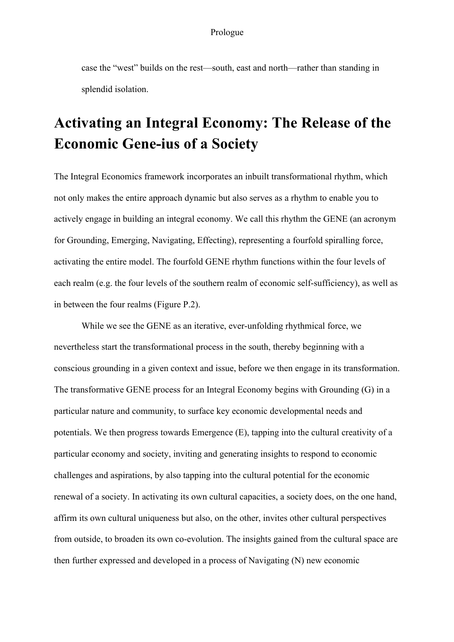case the "west" builds on the rest—south, east and north—rather than standing in splendid isolation.

## **Activating an Integral Economy: The Release of the Economic Gene-ius of a Society**

The Integral Economics framework incorporates an inbuilt transformational rhythm, which not only makes the entire approach dynamic but also serves as a rhythm to enable you to actively engage in building an integral economy. We call this rhythm the GENE (an acronym for Grounding, Emerging, Navigating, Effecting), representing a fourfold spiralling force, activating the entire model. The fourfold GENE rhythm functions within the four levels of each realm (e.g. the four levels of the southern realm of economic self-sufficiency), as well as in between the four realms (Figure P.2).

While we see the GENE as an iterative, ever-unfolding rhythmical force, we nevertheless start the transformational process in the south, thereby beginning with a conscious grounding in a given context and issue, before we then engage in its transformation. The transformative GENE process for an Integral Economy begins with Grounding (G) in a particular nature and community, to surface key economic developmental needs and potentials. We then progress towards Emergence (E), tapping into the cultural creativity of a particular economy and society, inviting and generating insights to respond to economic challenges and aspirations, by also tapping into the cultural potential for the economic renewal of a society. In activating its own cultural capacities, a society does, on the one hand, affirm its own cultural uniqueness but also, on the other, invites other cultural perspectives from outside, to broaden its own co-evolution. The insights gained from the cultural space are then further expressed and developed in a process of Navigating (N) new economic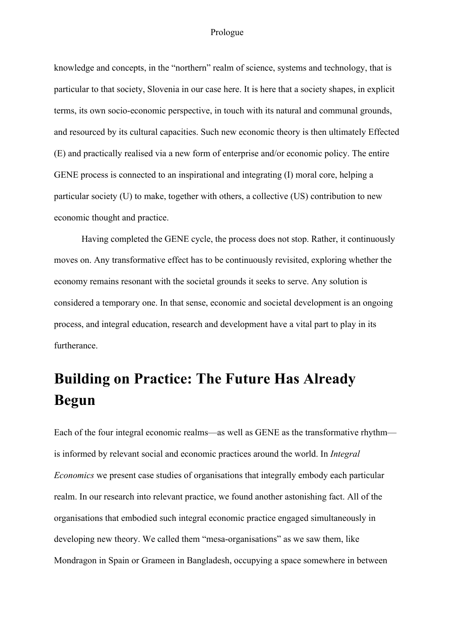knowledge and concepts, in the "northern" realm of science, systems and technology, that is particular to that society, Slovenia in our case here. It is here that a society shapes, in explicit terms, its own socio-economic perspective, in touch with its natural and communal grounds, and resourced by its cultural capacities. Such new economic theory is then ultimately Effected (E) and practically realised via a new form of enterprise and/or economic policy. The entire GENE process is connected to an inspirational and integrating (I) moral core, helping a particular society (U) to make, together with others, a collective (US) contribution to new economic thought and practice.

Having completed the GENE cycle, the process does not stop. Rather, it continuously moves on. Any transformative effect has to be continuously revisited, exploring whether the economy remains resonant with the societal grounds it seeks to serve. Any solution is considered a temporary one. In that sense, economic and societal development is an ongoing process, and integral education, research and development have a vital part to play in its furtherance.

## **Building on Practice: The Future Has Already Begun**

Each of the four integral economic realms—as well as GENE as the transformative rhythm is informed by relevant social and economic practices around the world. In *Integral Economics* we present case studies of organisations that integrally embody each particular realm. In our research into relevant practice, we found another astonishing fact. All of the organisations that embodied such integral economic practice engaged simultaneously in developing new theory. We called them "mesa-organisations" as we saw them, like Mondragon in Spain or Grameen in Bangladesh, occupying a space somewhere in between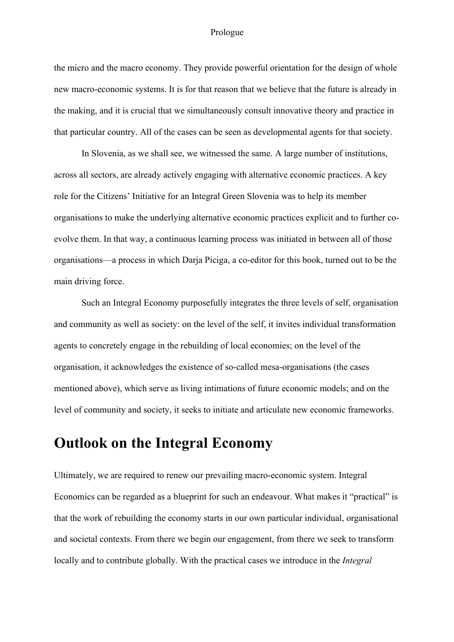the micro and the macro economy. They provide powerful orientation for the design of whole new macro-economic systems. It is for that reason that we believe that the future is already in the making, and it is crucial that we simultaneously consult innovative theory and practice in that particular country. All of the cases can be seen as developmental agents for that society.

In Slovenia, as we shall see, we witnessed the same. A large number of institutions, across all sectors, are already actively engaging with alternative economic practices. A key role for the Citizens' Initiative for an Integral Green Slovenia was to help its member organisations to make the underlying alternative economic practices explicit and to further coevolve them. In that way, a continuous learning process was initiated in between all of those organisations—a process in which Darja Piciga, a co-editor for this book, turned out to be the main driving force.

Such an Integral Economy purposefully integrates the three levels of self, organisation and community as well as society: on the level of the self, it invites individual transformation agents to concretely engage in the rebuilding of local economies; on the level of the organisation, it acknowledges the existence of so-called mesa-organisations (the cases mentioned above), which serve as living intimations of future economic models; and on the level of community and society, it seeks to initiate and articulate new economic frameworks.

### **Outlook on the Integral Economy**

Ultimately, we are required to renew our prevailing macro-economic system. Integral Economics can be regarded as a blueprint for such an endeavour. What makes it "practical" is that the work of rebuilding the economy starts in our own particular individual, organisational and societal contexts. From there we begin our engagement, from there we seek to transform locally and to contribute globally. With the practical cases we introduce in the *Integral*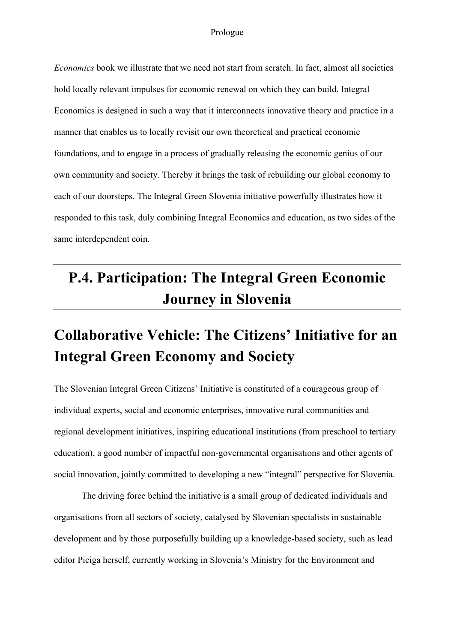*Economics* book we illustrate that we need not start from scratch. In fact, almost all societies hold locally relevant impulses for economic renewal on which they can build. Integral Economics is designed in such a way that it interconnects innovative theory and practice in a manner that enables us to locally revisit our own theoretical and practical economic foundations, and to engage in a process of gradually releasing the economic genius of our own community and society. Thereby it brings the task of rebuilding our global economy to each of our doorsteps. The Integral Green Slovenia initiative powerfully illustrates how it responded to this task, duly combining Integral Economics and education, as two sides of the same interdependent coin.

# **P.4. Participation: The Integral Green Economic Journey in Slovenia**

# **Collaborative Vehicle: The Citizens' Initiative for an Integral Green Economy and Society**

The Slovenian Integral Green Citizens' Initiative is constituted of a courageous group of individual experts, social and economic enterprises, innovative rural communities and regional development initiatives, inspiring educational institutions (from preschool to tertiary education), a good number of impactful non-governmental organisations and other agents of social innovation, jointly committed to developing a new "integral" perspective for Slovenia.

The driving force behind the initiative is a small group of dedicated individuals and organisations from all sectors of society, catalysed by Slovenian specialists in sustainable development and by those purposefully building up a knowledge-based society, such as lead editor Piciga herself, currently working in Slovenia's Ministry for the Environment and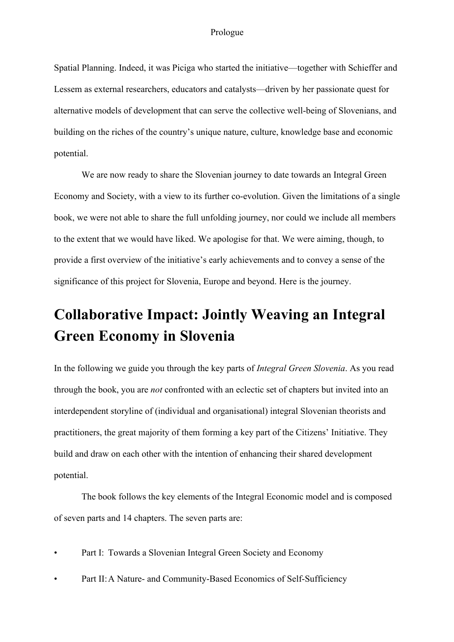Spatial Planning. Indeed, it was Piciga who started the initiative—together with Schieffer and Lessem as external researchers, educators and catalysts—driven by her passionate quest for alternative models of development that can serve the collective well-being of Slovenians, and building on the riches of the country's unique nature, culture, knowledge base and economic potential.

We are now ready to share the Slovenian journey to date towards an Integral Green Economy and Society, with a view to its further co-evolution. Given the limitations of a single book, we were not able to share the full unfolding journey, nor could we include all members to the extent that we would have liked. We apologise for that. We were aiming, though, to provide a first overview of the initiative's early achievements and to convey a sense of the significance of this project for Slovenia, Europe and beyond. Here is the journey.

## **Collaborative Impact: Jointly Weaving an Integral Green Economy in Slovenia**

In the following we guide you through the key parts of *Integral Green Slovenia*. As you read through the book, you are *not* confronted with an eclectic set of chapters but invited into an interdependent storyline of (individual and organisational) integral Slovenian theorists and practitioners, the great majority of them forming a key part of the Citizens' Initiative. They build and draw on each other with the intention of enhancing their shared development potential.

The book follows the key elements of the Integral Economic model and is composed of seven parts and 14 chapters. The seven parts are:

- Part I: Towards a Slovenian Integral Green Society and Economy
- Part II: A Nature- and Community-Based Economics of Self-Sufficiency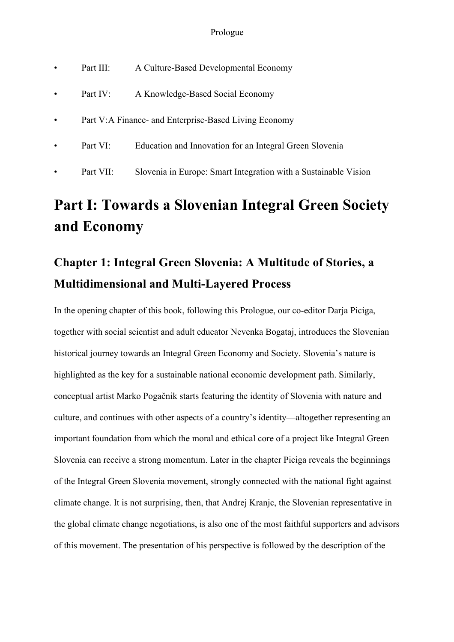| $\bullet$ | Part III: | A Culture-Based Developmental Economy                           |
|-----------|-----------|-----------------------------------------------------------------|
| $\bullet$ | Part IV:  | A Knowledge-Based Social Economy                                |
| $\bullet$ |           | Part V: A Finance- and Enterprise-Based Living Economy          |
| $\bullet$ | Part VI:  | Education and Innovation for an Integral Green Slovenia         |
| ٠         | Part VII: | Slovenia in Europe: Smart Integration with a Sustainable Vision |
|           |           |                                                                 |

# **Part I: Towards a Slovenian Integral Green Society and Economy**

## **Chapter 1: Integral Green Slovenia: A Multitude of Stories, a Multidimensional and Multi-Layered Process**

In the opening chapter of this book, following this Prologue, our co-editor Darja Piciga, together with social scientist and adult educator Nevenka Bogataj, introduces the Slovenian historical journey towards an Integral Green Economy and Society. Slovenia's nature is highlighted as the key for a sustainable national economic development path. Similarly, conceptual artist Marko Pogačnik starts featuring the identity of Slovenia with nature and culture, and continues with other aspects of a country's identity—altogether representing an important foundation from which the moral and ethical core of a project like Integral Green Slovenia can receive a strong momentum. Later in the chapter Piciga reveals the beginnings of the Integral Green Slovenia movement, strongly connected with the national fight against climate change. It is not surprising, then, that Andrej Kranjc, the Slovenian representative in the global climate change negotiations, is also one of the most faithful supporters and advisors of this movement. The presentation of his perspective is followed by the description of the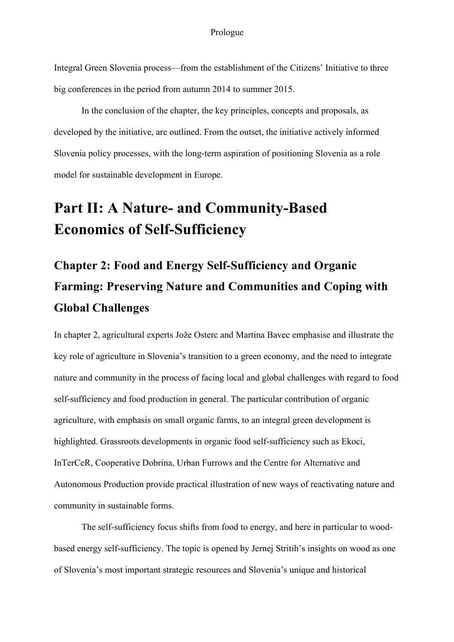Integral Green Slovenia process—from the establishment of the Citizens' Initiative to three big conferences in the period from autumn 2014 to summer 2015.

In the conclusion of the chapter, the key principles, concepts and proposals, as developed by the initiative, are outlined. From the outset, the initiative actively informed Slovenia policy processes, with the long-term aspiration of positioning Slovenia as a role model for sustainable development in Europe.

## **Part II: A Nature- and Community-Based Economics of Self-Sufficiency**

# **Chapter 2: Food and Energy Self-Sufficiency and Organic Farming: Preserving Nature and Communities and Coping with Global Challenges**

In chapter 2, agricultural experts Jože Osterc and Martina Bavec emphasise and illustrate the key role of agriculture in Slovenia's transition to a green economy, and the need to integrate nature and community in the process of facing local and global challenges with regard to food self-sufficiency and food production in general. The particular contribution of organic agriculture, with emphasis on small organic farms, to an integral green development is highlighted. Grassroots developments in organic food self-sufficiency such as Ekoci, InTerCeR, Cooperative Dobrina, Urban Furrows and the Centre for Alternative and Autonomous Production provide practical illustration of new ways of reactivating nature and community in sustainable forms.

The self-sufficiency focus shifts from food to energy, and here in particular to woodbased energy self-sufficiency. The topic is opened by Jernej Stritih's insights on wood as one of Slovenia's most important strategic resources and Slovenia's unique and historical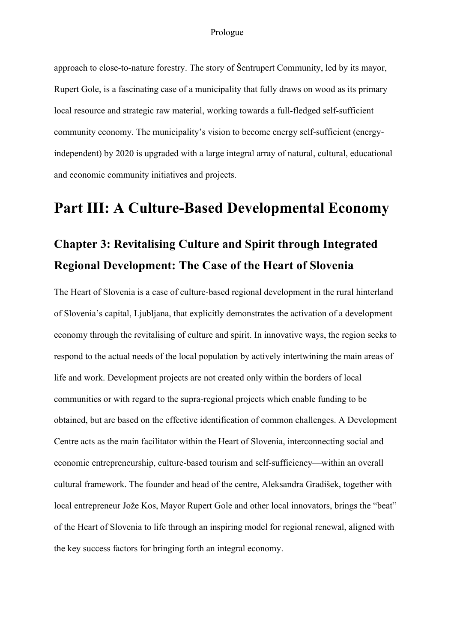approach to close-to-nature forestry. The story of Šentrupert Community, led by its mayor, Rupert Gole, is a fascinating case of a municipality that fully draws on wood as its primary local resource and strategic raw material, working towards a full-fledged self-sufficient community economy. The municipality's vision to become energy self-sufficient (energyindependent) by 2020 is upgraded with a large integral array of natural, cultural, educational and economic community initiatives and projects.

### **Part III: A Culture-Based Developmental Economy**

## **Chapter 3: Revitalising Culture and Spirit through Integrated Regional Development: The Case of the Heart of Slovenia**

The Heart of Slovenia is a case of culture-based regional development in the rural hinterland of Slovenia's capital, Ljubljana, that explicitly demonstrates the activation of a development economy through the revitalising of culture and spirit. In innovative ways, the region seeks to respond to the actual needs of the local population by actively intertwining the main areas of life and work. Development projects are not created only within the borders of local communities or with regard to the supra-regional projects which enable funding to be obtained, but are based on the effective identification of common challenges. A Development Centre acts as the main facilitator within the Heart of Slovenia, interconnecting social and economic entrepreneurship, culture-based tourism and self-sufficiency—within an overall cultural framework. The founder and head of the centre, Aleksandra Gradišek, together with local entrepreneur Jože Kos, Mayor Rupert Gole and other local innovators, brings the "beat" of the Heart of Slovenia to life through an inspiring model for regional renewal, aligned with the key success factors for bringing forth an integral economy.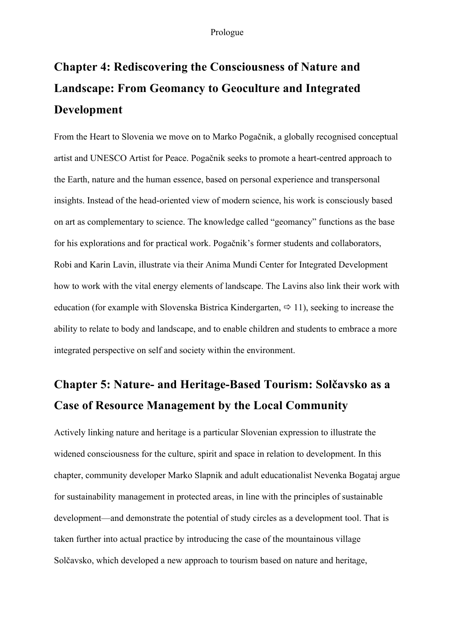# **Chapter 4: Rediscovering the Consciousness of Nature and Landscape: From Geomancy to Geoculture and Integrated Development**

From the Heart to Slovenia we move on to Marko Pogačnik, a globally recognised conceptual artist and UNESCO Artist for Peace. Pogačnik seeks to promote a heart-centred approach to the Earth, nature and the human essence, based on personal experience and transpersonal insights. Instead of the head-oriented view of modern science, his work is consciously based on art as complementary to science. The knowledge called "geomancy" functions as the base for his explorations and for practical work. Pogačnik's former students and collaborators, Robi and Karin Lavin, illustrate via their Anima Mundi Center for Integrated Development how to work with the vital energy elements of landscape. The Lavins also link their work with education (for example with Slovenska Bistrica Kindergarten,  $\Rightarrow$  11), seeking to increase the ability to relate to body and landscape, and to enable children and students to embrace a more integrated perspective on self and society within the environment.

## **Chapter 5: Nature- and Heritage-Based Tourism: Solčavsko as a Case of Resource Management by the Local Community**

Actively linking nature and heritage is a particular Slovenian expression to illustrate the widened consciousness for the culture, spirit and space in relation to development. In this chapter, community developer Marko Slapnik and adult educationalist Nevenka Bogataj argue for sustainability management in protected areas, in line with the principles of sustainable development—and demonstrate the potential of study circles as a development tool. That is taken further into actual practice by introducing the case of the mountainous village Solčavsko, which developed a new approach to tourism based on nature and heritage,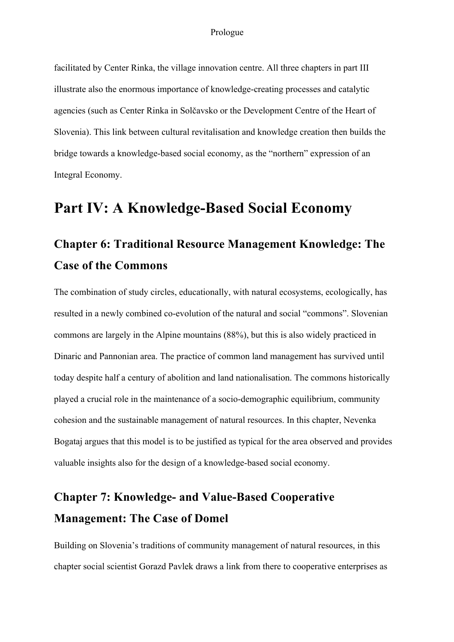facilitated by Center Rinka, the village innovation centre. All three chapters in part III illustrate also the enormous importance of knowledge-creating processes and catalytic agencies (such as Center Rinka in Solčavsko or the Development Centre of the Heart of Slovenia). This link between cultural revitalisation and knowledge creation then builds the bridge towards a knowledge-based social economy, as the "northern" expression of an Integral Economy.

### **Part IV: A Knowledge-Based Social Economy**

## **Chapter 6: Traditional Resource Management Knowledge: The Case of the Commons**

The combination of study circles, educationally, with natural ecosystems, ecologically, has resulted in a newly combined co-evolution of the natural and social "commons". Slovenian commons are largely in the Alpine mountains (88%), but this is also widely practiced in Dinaric and Pannonian area. The practice of common land management has survived until today despite half a century of abolition and land nationalisation. The commons historically played a crucial role in the maintenance of a socio-demographic equilibrium, community cohesion and the sustainable management of natural resources. In this chapter, Nevenka Bogataj argues that this model is to be justified as typical for the area observed and provides valuable insights also for the design of a knowledge-based social economy.

### **Chapter 7: Knowledge- and Value-Based Cooperative Management: The Case of Domel**

Building on Slovenia's traditions of community management of natural resources, in this chapter social scientist Gorazd Pavlek draws a link from there to cooperative enterprises as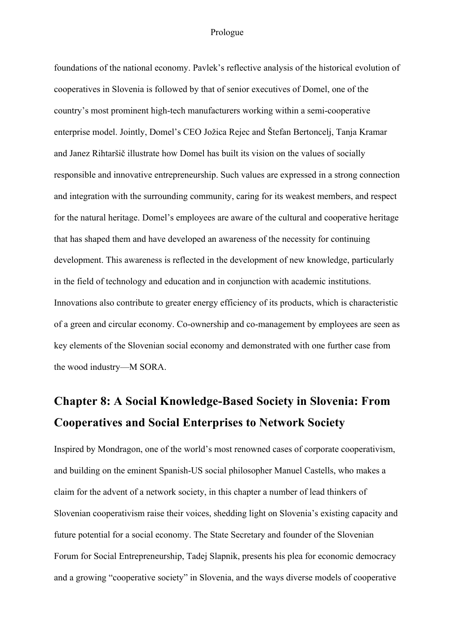foundations of the national economy. Pavlek's reflective analysis of the historical evolution of cooperatives in Slovenia is followed by that of senior executives of Domel, one of the country's most prominent high-tech manufacturers working within a semi-cooperative enterprise model. Jointly, Domel's CEO Jožica Rejec and Štefan Bertoncelj, Tanja Kramar and Janez Rihtaršič illustrate how Domel has built its vision on the values of socially responsible and innovative entrepreneurship. Such values are expressed in a strong connection and integration with the surrounding community, caring for its weakest members, and respect for the natural heritage. Domel's employees are aware of the cultural and cooperative heritage that has shaped them and have developed an awareness of the necessity for continuing development. This awareness is reflected in the development of new knowledge, particularly in the field of technology and education and in conjunction with academic institutions. Innovations also contribute to greater energy efficiency of its products, which is characteristic of a green and circular economy. Co-ownership and co-management by employees are seen as key elements of the Slovenian social economy and demonstrated with one further case from the wood industry—M SORA.

## **Chapter 8: A Social Knowledge-Based Society in Slovenia: From Cooperatives and Social Enterprises to Network Society**

Inspired by Mondragon, one of the world's most renowned cases of corporate cooperativism, and building on the eminent Spanish-US social philosopher Manuel Castells, who makes a claim for the advent of a network society, in this chapter a number of lead thinkers of Slovenian cooperativism raise their voices, shedding light on Slovenia's existing capacity and future potential for a social economy. The State Secretary and founder of the Slovenian Forum for Social Entrepreneurship, Tadej Slapnik, presents his plea for economic democracy and a growing "cooperative society" in Slovenia, and the ways diverse models of cooperative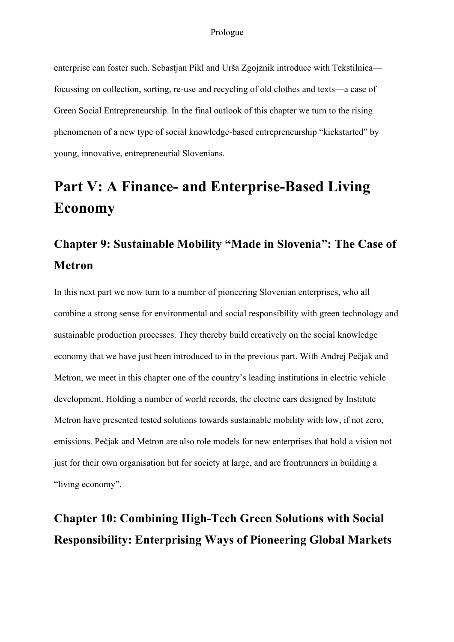enterprise can foster such. Sebastjan Pikl and Urša Zgojznik introduce with Tekstilnica focussing on collection, sorting, re-use and recycling of old clothes and texts—a case of Green Social Entrepreneurship. In the final outlook of this chapter we turn to the rising phenomenon of a new type of social knowledge-based entrepreneurship "kickstarted" by young, innovative, entrepreneurial Slovenians.

## **Part V: A Finance- and Enterprise-Based Living Economy**

## **Chapter 9: Sustainable Mobility "Made in Slovenia": The Case of Metron**

In this next part we now turn to a number of pioneering Slovenian enterprises, who all combine a strong sense for environmental and social responsibility with green technology and sustainable production processes. They thereby build creatively on the social knowledge economy that we have just been introduced to in the previous part. With Andrej Pečjak and Metron, we meet in this chapter one of the country's leading institutions in electric vehicle development. Holding a number of world records, the electric cars designed by Institute Metron have presented tested solutions towards sustainable mobility with low, if not zero, emissions. Pečjak and Metron are also role models for new enterprises that hold a vision not just for their own organisation but for society at large, and are frontrunners in building a "living economy".

## **Chapter 10: Combining High-Tech Green Solutions with Social Responsibility: Enterprising Ways of Pioneering Global Markets**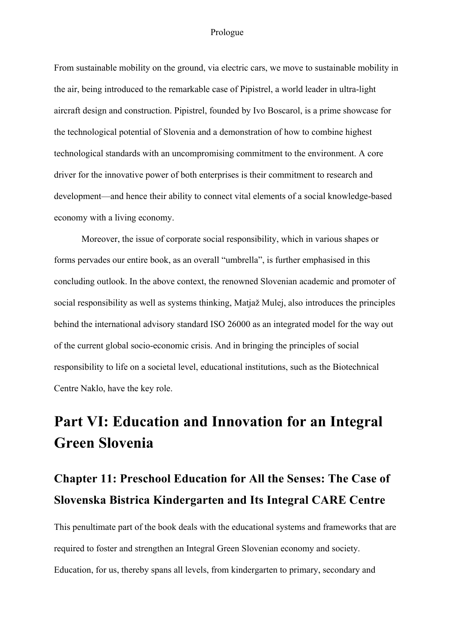From sustainable mobility on the ground, via electric cars, we move to sustainable mobility in the air, being introduced to the remarkable case of Pipistrel, a world leader in ultra-light aircraft design and construction. Pipistrel, founded by Ivo Boscarol, is a prime showcase for the technological potential of Slovenia and a demonstration of how to combine highest technological standards with an uncompromising commitment to the environment. A core driver for the innovative power of both enterprises is their commitment to research and development—and hence their ability to connect vital elements of a social knowledge-based economy with a living economy.

Moreover, the issue of corporate social responsibility, which in various shapes or forms pervades our entire book, as an overall "umbrella", is further emphasised in this concluding outlook. In the above context, the renowned Slovenian academic and promoter of social responsibility as well as systems thinking, Matjaž Mulej, also introduces the principles behind the international advisory standard ISO 26000 as an integrated model for the way out of the current global socio-economic crisis. And in bringing the principles of social responsibility to life on a societal level, educational institutions, such as the Biotechnical Centre Naklo, have the key role.

## **Part VI: Education and Innovation for an Integral Green Slovenia**

## **Chapter 11: Preschool Education for All the Senses: The Case of Slovenska Bistrica Kindergarten and Its Integral CARE Centre**

This penultimate part of the book deals with the educational systems and frameworks that are required to foster and strengthen an Integral Green Slovenian economy and society. Education, for us, thereby spans all levels, from kindergarten to primary, secondary and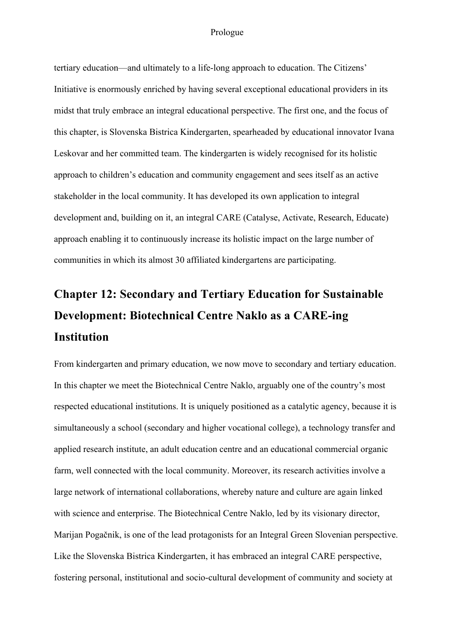tertiary education—and ultimately to a life-long approach to education. The Citizens' Initiative is enormously enriched by having several exceptional educational providers in its midst that truly embrace an integral educational perspective. The first one, and the focus of this chapter, is Slovenska Bistrica Kindergarten, spearheaded by educational innovator Ivana Leskovar and her committed team. The kindergarten is widely recognised for its holistic approach to children's education and community engagement and sees itself as an active stakeholder in the local community. It has developed its own application to integral development and, building on it, an integral CARE (Catalyse, Activate, Research, Educate) approach enabling it to continuously increase its holistic impact on the large number of communities in which its almost 30 affiliated kindergartens are participating.

## **Chapter 12: Secondary and Tertiary Education for Sustainable Development: Biotechnical Centre Naklo as a CARE-ing Institution**

From kindergarten and primary education, we now move to secondary and tertiary education. In this chapter we meet the Biotechnical Centre Naklo, arguably one of the country's most respected educational institutions. It is uniquely positioned as a catalytic agency, because it is simultaneously a school (secondary and higher vocational college), a technology transfer and applied research institute, an adult education centre and an educational commercial organic farm, well connected with the local community. Moreover, its research activities involve a large network of international collaborations, whereby nature and culture are again linked with science and enterprise. The Biotechnical Centre Naklo, led by its visionary director, Marijan Pogačnik, is one of the lead protagonists for an Integral Green Slovenian perspective. Like the Slovenska Bistrica Kindergarten, it has embraced an integral CARE perspective, fostering personal, institutional and socio-cultural development of community and society at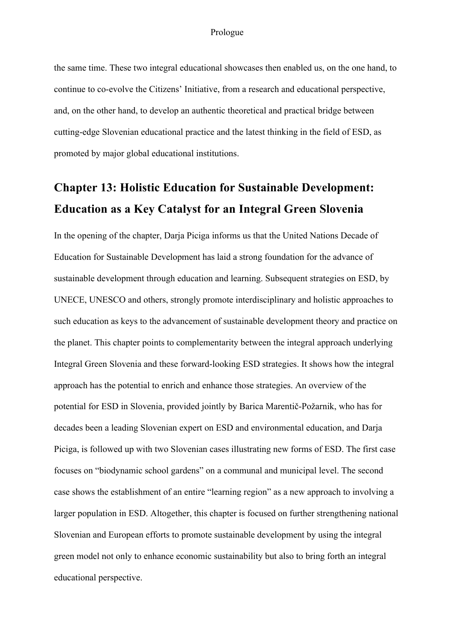the same time. These two integral educational showcases then enabled us, on the one hand, to continue to co-evolve the Citizens' Initiative, from a research and educational perspective, and, on the other hand, to develop an authentic theoretical and practical bridge between cutting-edge Slovenian educational practice and the latest thinking in the field of ESD, as promoted by major global educational institutions.

### **Chapter 13: Holistic Education for Sustainable Development: Education as a Key Catalyst for an Integral Green Slovenia**

In the opening of the chapter, Darja Piciga informs us that the United Nations Decade of Education for Sustainable Development has laid a strong foundation for the advance of sustainable development through education and learning. Subsequent strategies on ESD, by UNECE, UNESCO and others, strongly promote interdisciplinary and holistic approaches to such education as keys to the advancement of sustainable development theory and practice on the planet. This chapter points to complementarity between the integral approach underlying Integral Green Slovenia and these forward-looking ESD strategies. It shows how the integral approach has the potential to enrich and enhance those strategies. An overview of the potential for ESD in Slovenia, provided jointly by Barica Marentič-Požarnik, who has for decades been a leading Slovenian expert on ESD and environmental education, and Darja Piciga, is followed up with two Slovenian cases illustrating new forms of ESD. The first case focuses on "biodynamic school gardens" on a communal and municipal level. The second case shows the establishment of an entire "learning region" as a new approach to involving a larger population in ESD. Altogether, this chapter is focused on further strengthening national Slovenian and European efforts to promote sustainable development by using the integral green model not only to enhance economic sustainability but also to bring forth an integral educational perspective.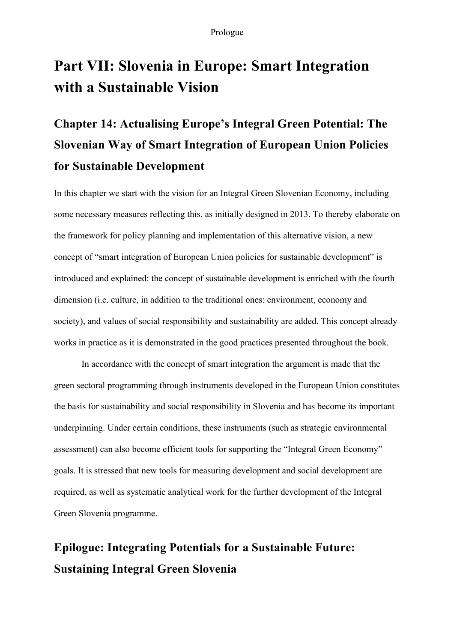## **Part VII: Slovenia in Europe: Smart Integration with a Sustainable Vision**

## **Chapter 14: Actualising Europe's Integral Green Potential: The Slovenian Way of Smart Integration of European Union Policies for Sustainable Development**

In this chapter we start with the vision for an Integral Green Slovenian Economy, including some necessary measures reflecting this, as initially designed in 2013. To thereby elaborate on the framework for policy planning and implementation of this alternative vision, a new concept of "smart integration of European Union policies for sustainable development" is introduced and explained: the concept of sustainable development is enriched with the fourth dimension (i.e. culture, in addition to the traditional ones: environment, economy and society), and values of social responsibility and sustainability are added. This concept already works in practice as it is demonstrated in the good practices presented throughout the book.

In accordance with the concept of smart integration the argument is made that the green sectoral programming through instruments developed in the European Union constitutes the basis for sustainability and social responsibility in Slovenia and has become its important underpinning. Under certain conditions, these instruments (such as strategic environmental assessment) can also become efficient tools for supporting the "Integral Green Economy" goals. It is stressed that new tools for measuring development and social development are required, as well as systematic analytical work for the further development of the Integral Green Slovenia programme.

## **Epilogue: Integrating Potentials for a Sustainable Future: Sustaining Integral Green Slovenia**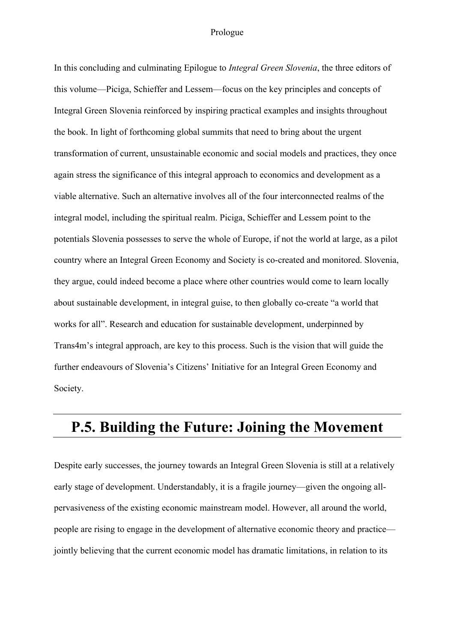In this concluding and culminating Epilogue to *Integral Green Slovenia*, the three editors of this volume—Piciga, Schieffer and Lessem—focus on the key principles and concepts of Integral Green Slovenia reinforced by inspiring practical examples and insights throughout the book. In light of forthcoming global summits that need to bring about the urgent transformation of current, unsustainable economic and social models and practices, they once again stress the significance of this integral approach to economics and development as a viable alternative. Such an alternative involves all of the four interconnected realms of the integral model, including the spiritual realm. Piciga, Schieffer and Lessem point to the potentials Slovenia possesses to serve the whole of Europe, if not the world at large, as a pilot country where an Integral Green Economy and Society is co-created and monitored. Slovenia, they argue, could indeed become a place where other countries would come to learn locally about sustainable development, in integral guise, to then globally co-create "a world that works for all". Research and education for sustainable development, underpinned by Trans4m's integral approach, are key to this process. Such is the vision that will guide the further endeavours of Slovenia's Citizens' Initiative for an Integral Green Economy and Society.

### **P.5. Building the Future: Joining the Movement**

Despite early successes, the journey towards an Integral Green Slovenia is still at a relatively early stage of development. Understandably, it is a fragile journey—given the ongoing allpervasiveness of the existing economic mainstream model. However, all around the world, people are rising to engage in the development of alternative economic theory and practice jointly believing that the current economic model has dramatic limitations, in relation to its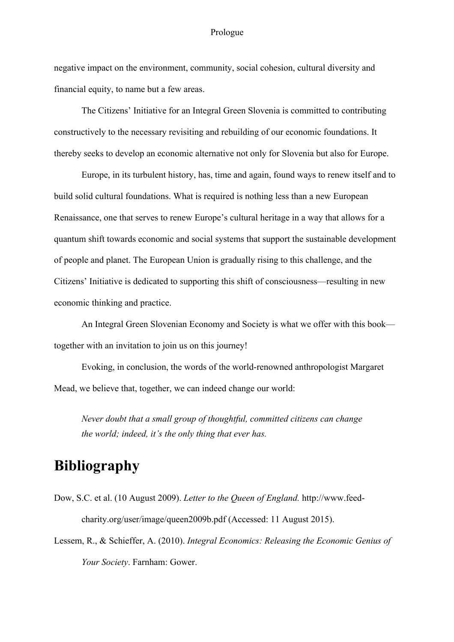negative impact on the environment, community, social cohesion, cultural diversity and financial equity, to name but a few areas.

The Citizens' Initiative for an Integral Green Slovenia is committed to contributing constructively to the necessary revisiting and rebuilding of our economic foundations. It thereby seeks to develop an economic alternative not only for Slovenia but also for Europe.

Europe, in its turbulent history, has, time and again, found ways to renew itself and to build solid cultural foundations. What is required is nothing less than a new European Renaissance, one that serves to renew Europe's cultural heritage in a way that allows for a quantum shift towards economic and social systems that support the sustainable development of people and planet. The European Union is gradually rising to this challenge, and the Citizens' Initiative is dedicated to supporting this shift of consciousness—resulting in new economic thinking and practice.

An Integral Green Slovenian Economy and Society is what we offer with this book together with an invitation to join us on this journey!

Evoking, in conclusion, the words of the world-renowned anthropologist Margaret Mead, we believe that, together, we can indeed change our world:

*Never doubt that a small group of thoughtful, committed citizens can change the world; indeed, it's the only thing that ever has.*

### **Bibliography**

- Dow, S.C. et al. (10 August 2009). *Letter to the Queen of England.* http://www.feedcharity.org/user/image/queen2009b.pdf (Accessed: 11 August 2015).
- Lessem, R., & Schieffer, A. (2010). *Integral Economics: Releasing the Economic Genius of Your Society*. Farnham: Gower.